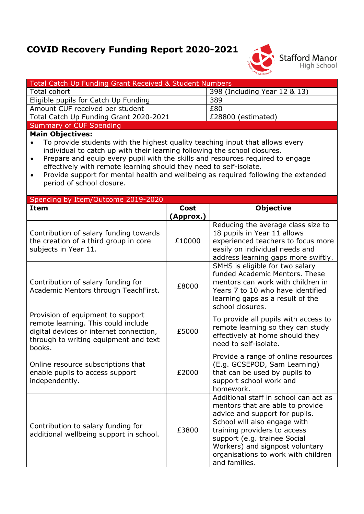## **COVID Recovery Funding Report 2020-2021**



| Total Catch Up Funding Grant Received & Student Numbers                                                                                                                                                                                                                                                                                                                                                                                                                            |           |                                                                                                                                                                                                                                                                                                        |
|------------------------------------------------------------------------------------------------------------------------------------------------------------------------------------------------------------------------------------------------------------------------------------------------------------------------------------------------------------------------------------------------------------------------------------------------------------------------------------|-----------|--------------------------------------------------------------------------------------------------------------------------------------------------------------------------------------------------------------------------------------------------------------------------------------------------------|
| Total cohort                                                                                                                                                                                                                                                                                                                                                                                                                                                                       |           | 398 (Including Year 12 & 13)                                                                                                                                                                                                                                                                           |
| Eligible pupils for Catch Up Funding                                                                                                                                                                                                                                                                                                                                                                                                                                               |           | 389                                                                                                                                                                                                                                                                                                    |
| Amount CUF received per student                                                                                                                                                                                                                                                                                                                                                                                                                                                    |           | £80                                                                                                                                                                                                                                                                                                    |
| Total Catch Up Funding Grant 2020-2021                                                                                                                                                                                                                                                                                                                                                                                                                                             |           | £28800 (estimated)                                                                                                                                                                                                                                                                                     |
| <b>Summary of CUF Spending</b>                                                                                                                                                                                                                                                                                                                                                                                                                                                     |           |                                                                                                                                                                                                                                                                                                        |
| <b>Main Objectives:</b><br>To provide students with the highest quality teaching input that allows every<br>individual to catch up with their learning following the school closures.<br>Prepare and equip every pupil with the skills and resources required to engage<br>$\bullet$<br>effectively with remote learning should they need to self-isolate.<br>Provide support for mental health and wellbeing as required following the extended<br>٠<br>period of school closure. |           |                                                                                                                                                                                                                                                                                                        |
| Spending by Item/Outcome 2019-2020<br><b>Item</b>                                                                                                                                                                                                                                                                                                                                                                                                                                  | Cost      | <b>Objective</b>                                                                                                                                                                                                                                                                                       |
|                                                                                                                                                                                                                                                                                                                                                                                                                                                                                    | (Approx.) |                                                                                                                                                                                                                                                                                                        |
| Contribution of salary funding towards<br>the creation of a third group in core<br>subjects in Year 11.                                                                                                                                                                                                                                                                                                                                                                            | £10000    | Reducing the average class size to<br>18 pupils in Year 11 allows<br>experienced teachers to focus more<br>easily on individual needs and<br>address learning gaps more swiftly.                                                                                                                       |
| Contribution of salary funding for<br>Academic Mentors through TeachFirst.                                                                                                                                                                                                                                                                                                                                                                                                         | £8000     | SMHS is eligible for two salary<br>funded Academic Mentors. These<br>mentors can work with children in<br>Years 7 to 10 who have identified<br>learning gaps as a result of the<br>school closures.                                                                                                    |
| Provision of equipment to support<br>remote learning. This could include<br>digital devices or internet connection,<br>through to writing equipment and text<br>books.                                                                                                                                                                                                                                                                                                             | £5000     | To provide all pupils with access to<br>remote learning so they can study<br>effectively at home should they<br>need to self-isolate.                                                                                                                                                                  |
| Online resource subscriptions that<br>enable pupils to access support<br>independently.                                                                                                                                                                                                                                                                                                                                                                                            | £2000     | Provide a range of online resources<br>(E.g. GCSEPOD, Sam Learning)<br>that can be used by pupils to<br>support school work and<br>homework.                                                                                                                                                           |
| Contribution to salary funding for<br>additional wellbeing support in school.                                                                                                                                                                                                                                                                                                                                                                                                      | £3800     | Additional staff in school can act as<br>mentors that are able to provide<br>advice and support for pupils.<br>School will also engage with<br>training providers to access<br>support (e.g. trainee Social<br>Workers) and signpost voluntary<br>organisations to work with children<br>and families. |